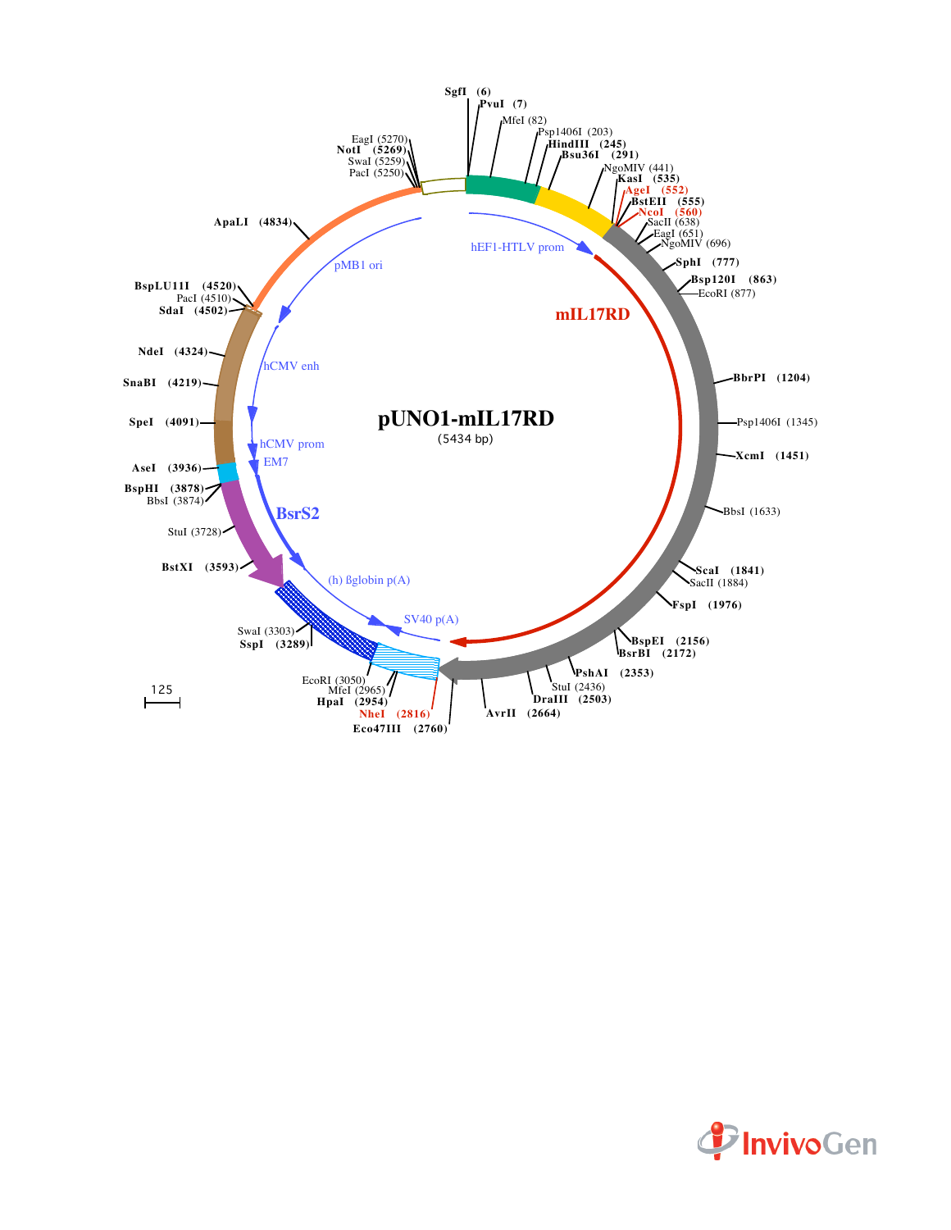

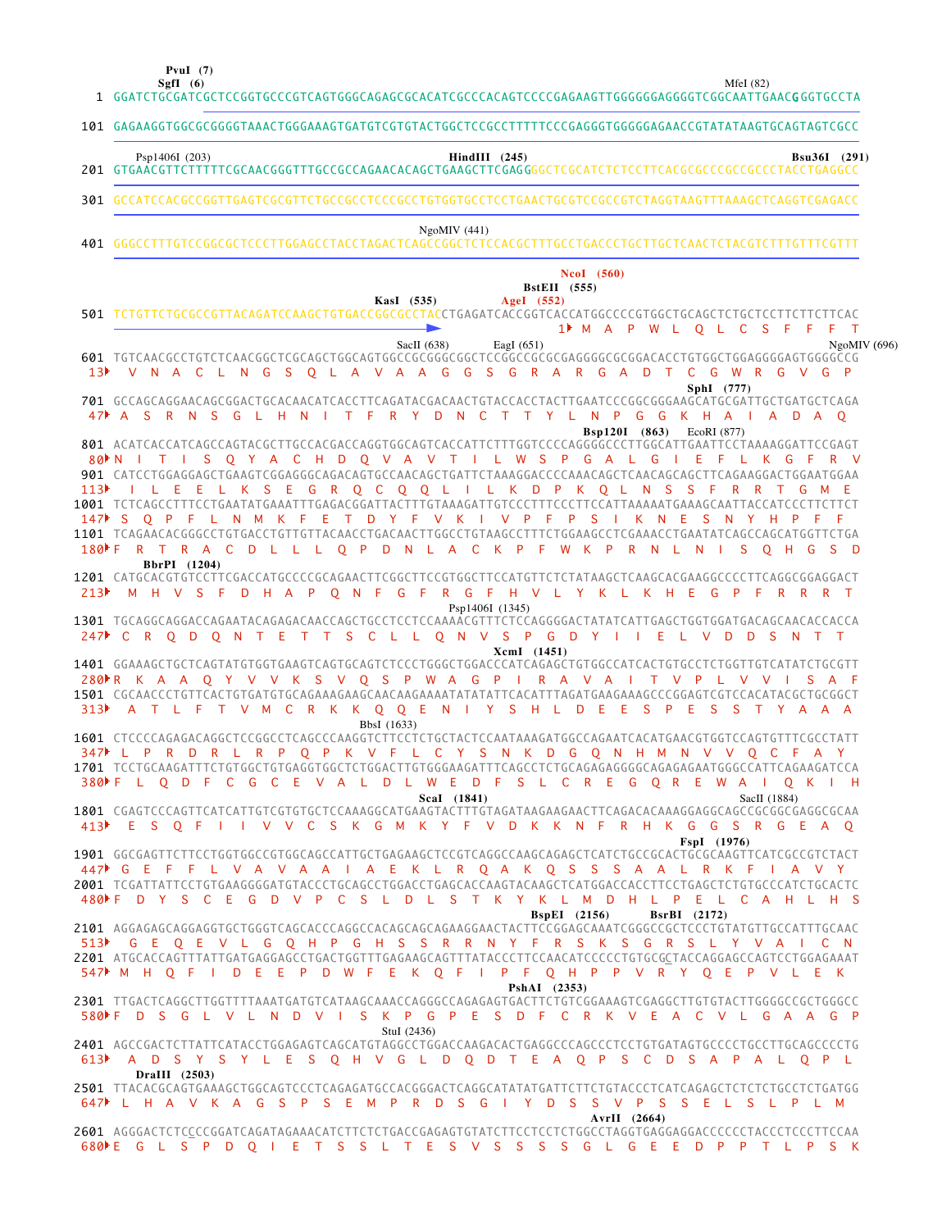**PvuI (7)**

**SgfI (6)** MfeI (82)

|                  | 1 GGATCTGCGATCGCTCCGGTGCCCGTCAGTGGGCAGAGCGCACATCGCCCACAGTCCCCGAGAAGTTGGGGGGAGGGTCGGCAATTGAAC <b>G</b> GGTGCCTA                                                                                                                                                                                                                                                                                                                                                                                                                                                                                                                                                       |
|------------------|----------------------------------------------------------------------------------------------------------------------------------------------------------------------------------------------------------------------------------------------------------------------------------------------------------------------------------------------------------------------------------------------------------------------------------------------------------------------------------------------------------------------------------------------------------------------------------------------------------------------------------------------------------------------|
|                  | 101 GAGAAGGTGGCGCGGGGTAAACTGGGAAAGTGATGTCGTGTACTGGCTCCGCCTTTTTCCCGAGGGTGGGGGAACCGTATATAAGTGCAGTAGTCGCC                                                                                                                                                                                                                                                                                                                                                                                                                                                                                                                                                               |
|                  | Psp1406I (203)<br>$HindIII$ (245)<br><b>Bsu36I</b> (291)                                                                                                                                                                                                                                                                                                                                                                                                                                                                                                                                                                                                             |
|                  | 301 GCCATCCACGCCGGTTGAGTCGCGTTCTGCCGCCTCCCGCCTGTGGTGCCTCCTGAACTGCGTCCGCCGTCTAGGTAAGTTTAAAGCTCAGGTCGAGACC                                                                                                                                                                                                                                                                                                                                                                                                                                                                                                                                                             |
|                  | NgoMIV(441)                                                                                                                                                                                                                                                                                                                                                                                                                                                                                                                                                                                                                                                          |
|                  | NcoI (560)<br><b>BstEII</b> (555)<br>KasI (535)<br>AgeI (552)<br>501 TCTGTTCTGCGCCGTTACAGATCCAAGCTGTGACCGGCGCCTACCTGAGATCACCGGTCACCATGGCCCCGTGGCTGCAGCTCTGCTCCTTCTTCTTCAC<br>1 M A P W L Q L C S F F F T                                                                                                                                                                                                                                                                                                                                                                                                                                                             |
|                  | SacII (638)<br>EagI $(651)$<br>NgoMIV (696)<br>601 TGTCAACGCCTGTCTCAACGGCTCGCAGCTGGCAGTGGCCGCGGGGCGGCTCCGGCCGCGCGGGGGGCGCGGACACCTGTGGCTGGAGGGGAGTGGGCCG<br>V N A C L N G S O L A V A A G G S G R A R G A D T C G W R G V G P                                                                                                                                                                                                                                                                                                                                                                                                                                         |
|                  | SphI (777)<br>701 GCCAGCAGGAACAGCGGACTGCACAACATCACCTTCAGATACGACAACTGTACCACCTACTTGAATCCCGGCGGGAAGCATGCGATTGCTGATGCTCAGA<br>47 A S R N S G L H N I T F R Y D N C T T Y L N P G G K H A I A D A O<br><b>Bsp120I</b> (863) EcoRI (877)                                                                                                                                                                                                                                                                                                                                                                                                                                   |
| 113 <sup>2</sup> | 801 ACATCACCATCAGCCAGTACGCTTGCCACGACCAGGTGGCAGTCACCATTCTTTGGTCCCCAGGGGCCCTTGGCATTGAATTCCTAAAAGGATTCCGAGT<br>80 NITIS Q Y A C H D Q V A V T I L W S P G A L G I E F L K G F R V<br>901 CATCCTGGAGGAGCTGAAGTCGGAGGGCAGACAGTGCCAACAGCTGATTCTAAAGGACCCCAAACAGCTCAACAGCAGCTTCAGAAGGACTGGAATGGAA<br>I L E E L K S E G R Q C Q Q L I L K D P K Q L N S S F R R T G M E<br>1001 TCTCAGCCTTTCCTGAATATGAAATTTGAGACGGATTACTTTGTAAAGATTGTCCCTTTCCCTTCCATTAAAAATGAAAGCAATTACCATCCCTTCTTCT<br>147 SQPFL N M K F E T D Y F V K I V P F P S I K N E S N Y H P F F<br>180F R T R A C D L L L O P D N L A C K P F W K P R N L<br><b>N</b><br><b>College</b><br>S O H G<br>BbrPI (1204) |
| 213              | 1201 CATGCACGTGTCCTTCGACCATGCCCCGCAGAACTTCGGCTTCCGTGGCTTCCATGTTCTCTATAAGCTCAAGCACGAAGGCCCCTTCAGGCGGAGGACT<br>M H V S F D H A P O N F G F R G F H V L Y K L K H E G P F R R R T<br>Psp1406I (1345)<br>1301 TGCAGGCAGGACCAGAATACAGAGACAACCAGCTGCCTCCTCCAAAACGTTTCTCCAGGGGACTATATCATTGAGCTGGTGGATGACAGCAACACCACCA                                                                                                                                                                                                                                                                                                                                                       |
|                  | 247 CRODONTETTS CLLONVS PGDY I I ELVDDS NTT<br>XcmI (1451)                                                                                                                                                                                                                                                                                                                                                                                                                                                                                                                                                                                                           |
| 313 <sup>2</sup> | 1401 GGAAAGCTGCTCAGTATGTGGTGAAGTCAGTGCAGTCTCCCTGGGCTGGACCCATCAGAGCTGTGGCCATCACTGTGCCTCTGGTTGTCATATCTGCGTT<br>280 R K A A Q Y V V K S V Q S P W A G P I R A V A I T V P<br>- L<br>V V<br>A T L F T V M C R K K Q Q E N I Y S H L D E E<br>SPE<br>SSTYAAA                                                                                                                                                                                                                                                                                                                                                                                                              |
|                  | BbsI (1633)<br>1601 CTCCCCAGAGACAGGCTCCGGCCTCAGCCCAAGGTCTTCCTCTGCTACTCCAATAAAGATGGCCAGAATCACATGAACGTGGTCCAGTGTTTCGCCTATT<br>P O P K V F L C Y S N K D G O N H M N V V O C F A Y<br>$347$ L P<br><b>R</b><br>L R<br>D<br>- R<br>1701 TCCTGCAAGATTTCTGTGGCTGTGAGGTGGCTCTGGACTTGTGGGAAGATTTCAGCCTCTGCAGAGAGGGGCAGAGAGAATGGGCCATTCAGAAGATCCA<br>LODF C G C E V A L D L W E D F S L C R E G O R E W A I<br>0 K I H<br>Scal (1841)<br>SacII (1884)                                                                                                                                                                                                                         |
|                  | 1801 CGAGTCCCAGTTCATCATTGTCGTGTGCTCCAAAGGCATGAAGTACTTTGTAGATAAGAAGAACTTCAGACACAAAGGAGGCAGCCGCGGGGGGGCGAAGGCCGA<br>413 E S O F I I V V C S K G M K Y F V D K K N F R H K G G S R G E A O<br>FspI (1976)                                                                                                                                                                                                                                                                                                                                                                                                                                                               |
|                  | 1901 GGCGAGTTCTTCCTGGTGGCCGTGGCAGCCATTGCTGAGAAGCTCCGTCAGGCCAAGCAGAGCTCATCTGCCGCACTGCGCAAGTTCATCGCCGTCTACT<br>447 GEFFL VAVAAIAEKL R QAK Q S S S A A L R K F I A V Y<br>2001 TCGATTATTCCTGTGAAGGGGATGTACCCTGCAGCCTGGACCTGAGCACCAAGTACAAGCTCATGGACCACCTTCCTGAGCTCTGTGCCCATCTGCACTC<br>480F D Y S C E G D V P C S L D L S T K Y K L M D H L P E L C A H L H S                                                                                                                                                                                                                                                                                                           |
|                  | $BspEI$ (2156)<br><b>BsrBI</b> (2172)<br>513 GEQEVLGQHPGHSSRRNYFRSKSGRSLYVAICN<br>2201 ATGCACCAGTTTATTGATGAGGAGCCTGACTGGTTTGAGAAGCAGTTTATACCCTTCCAACATCCCCCTGTGCGCTACCAGGAGCCAGTCCTGGAGAAAT<br>547 M H O F I D E E P D W F E K O F I P F O H P P V R Y O E P V L E K                                                                                                                                                                                                                                                                                                                                                                                                 |
|                  | PshAI (2353)<br>2301 TTGACTCAGGCTTGGTTTTAAATGATGTCATAAGCAAACCAGGGCCAGAGAGTGACTTCTGTCGGAAAGTCGAGGCTTGTGTACTTGGGGCCGCTGGGCC<br>580▶F D S G L V L N D V I S K P G P E S D F C R K V E A C V L G A A G P<br>StuI $(2436)$                                                                                                                                                                                                                                                                                                                                                                                                                                                |
|                  | 2401 AGCCGACTCTTATTCATACCTGGAGAGTCAGCATGTAGGCCTGGACCAAGACACTGAGGCCCAGCCCTCCTGTGATAGTGCCCCTGCCTTGCAGCCCCTG<br>613 A D S Y S Y L E S Q H V G L D Q D T E A Q P S C D S A P A L Q P L                                                                                                                                                                                                                                                                                                                                                                                                                                                                                   |
|                  | DraIII (2503)<br>647 L H A V K A G S P S E M P R D S G I Y D S S V P S S E L S L P L M                                                                                                                                                                                                                                                                                                                                                                                                                                                                                                                                                                               |
|                  | AvrII (2664)<br>680ME G L S P D O I E T S S L T E S V S S S S G L G E E D P P T L P S K                                                                                                                                                                                                                                                                                                                                                                                                                                                                                                                                                                              |